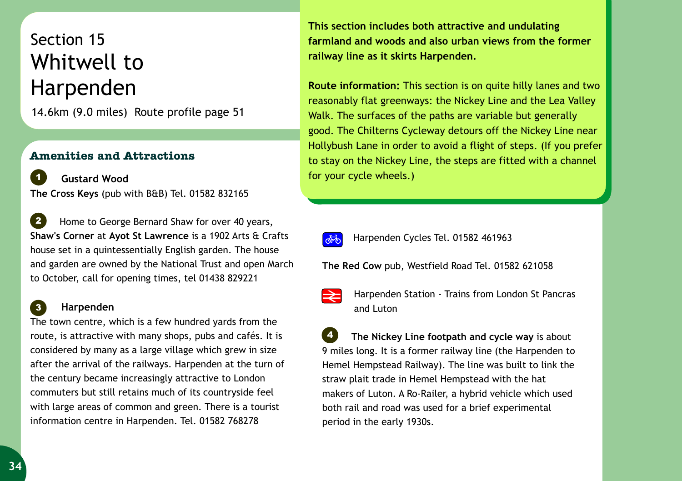## Section 15 Whitwell to Harpenden

14.6km (9.0 miles) Route profile page 51

## **Amenities and Attractions**

for your cycle wheels.) **Gustard Wood The Cross Keys** (pub with B&B) Tel. 01582 832165 *1*

 Home to George Bernard Shaw for over 40 years, **Shaw's Corner** at **Ayot St Lawrence** is a 1902 Arts & Crafts house set in a quintessentially English garden. The house and garden are owned by the National Trust and open March to October, call for opening times, tel 01438 829221 *2*

## **Harpenden**

*3*

The town centre, which is a few hundred yards from the route, is attractive with many shops, pubs and cafés. It is considered by many as a large village which grew in size after the arrival of the railways. Harpenden at the turn of the century became increasingly attractive to London commuters but still retains much of its countryside feel with large areas of common and green. There is a tourist information centre in Harpenden. Tel. 01582 768278

**This section includes both attractive and undulating farmland and woods and also urban views from the former railway line as it skirts Harpenden.**

**Route information:** This section is on quite hilly lanes and two reasonably flat greenways: the Nickey Line and the Lea Valley Walk. The surfaces of the paths are variable but generally good. The Chilterns Cycleway detours off the Nickey Line near Hollybush Lane in order to avoid a flight of steps. (If you prefer to stay on the Nickey Line, the steps are fitted with a channel



*A***<sub>0</sub>** Harpenden Cycles Tel. 01582 461963

**The Red Cow** pub, Westfield Road Tel. 01582 621058



Harpenden Station - Trains from London St Pancras and Luton

 **The Nickey Line footpath and cycle way** is about 9 miles long. It is a former railway line (the Harpenden to Hemel Hempstead Railway). The line was built to link the straw plait trade in Hemel Hempstead with the hat makers of Luton. A Ro-Railer, a hybrid vehicle which used both rail and road was used for a brief experimental period in the early 1930s. *4*